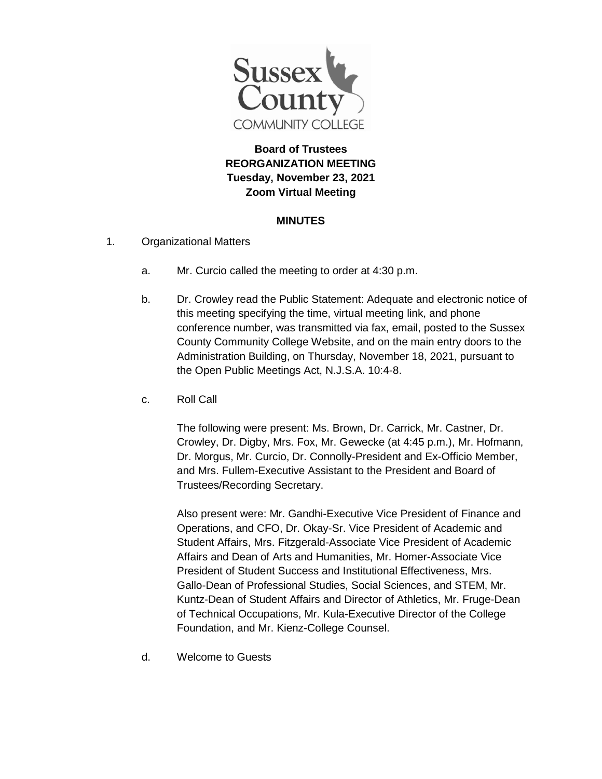

## **Board of Trustees REORGANIZATION MEETING Tuesday, November 23, 2021 Zoom Virtual Meeting**

## **MINUTES**

- 1. Organizational Matters
	- a. Mr. Curcio called the meeting to order at 4:30 p.m.
	- b. Dr. Crowley read the Public Statement: Adequate and electronic notice of this meeting specifying the time, virtual meeting link, and phone conference number, was transmitted via fax, email, posted to the Sussex County Community College Website, and on the main entry doors to the Administration Building, on Thursday, November 18, 2021, pursuant to the Open Public Meetings Act, N.J.S.A. 10:4-8.
	- c. Roll Call

The following were present: Ms. Brown, Dr. Carrick, Mr. Castner, Dr. Crowley, Dr. Digby, Mrs. Fox, Mr. Gewecke (at 4:45 p.m.), Mr. Hofmann, Dr. Morgus, Mr. Curcio, Dr. Connolly-President and Ex-Officio Member, and Mrs. Fullem-Executive Assistant to the President and Board of Trustees/Recording Secretary.

Also present were: Mr. Gandhi-Executive Vice President of Finance and Operations, and CFO, Dr. Okay-Sr. Vice President of Academic and Student Affairs, Mrs. Fitzgerald-Associate Vice President of Academic Affairs and Dean of Arts and Humanities, Mr. Homer-Associate Vice President of Student Success and Institutional Effectiveness, Mrs. Gallo-Dean of Professional Studies, Social Sciences, and STEM, Mr. Kuntz-Dean of Student Affairs and Director of Athletics, Mr. Fruge-Dean of Technical Occupations, Mr. Kula-Executive Director of the College Foundation, and Mr. Kienz-College Counsel.

d. Welcome to Guests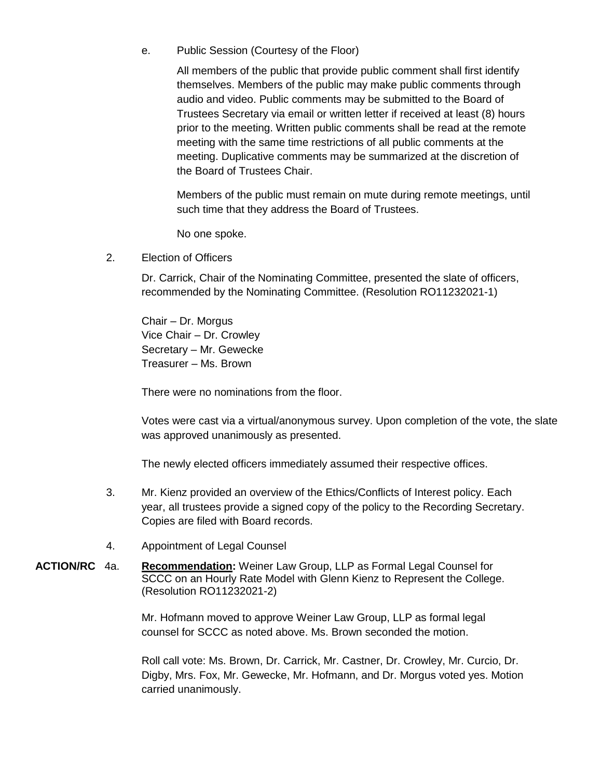e. Public Session (Courtesy of the Floor)

All members of the public that provide public comment shall first identify themselves. Members of the public may make public comments through audio and video. Public comments may be submitted to the Board of Trustees Secretary via email or written letter if received at least (8) hours prior to the meeting. Written public comments shall be read at the remote meeting with the same time restrictions of all public comments at the meeting. Duplicative comments may be summarized at the discretion of the Board of Trustees Chair.

Members of the public must remain on mute during remote meetings, until such time that they address the Board of Trustees.

No one spoke.

2. Election of Officers

Dr. Carrick, Chair of the Nominating Committee, presented the slate of officers, recommended by the Nominating Committee. (Resolution RO11232021-1)

Chair – Dr. Morgus Vice Chair – Dr. Crowley Secretary – Mr. Gewecke Treasurer – Ms. Brown

There were no nominations from the floor.

Votes were cast via a virtual/anonymous survey. Upon completion of the vote, the slate was approved unanimously as presented.

The newly elected officers immediately assumed their respective offices.

- 3. Mr. Kienz provided an overview of the Ethics/Conflicts of Interest policy. Each year, all trustees provide a signed copy of the policy to the Recording Secretary. Copies are filed with Board records.
- 4. Appointment of Legal Counsel
- **ACTION/RC** 4a. **Recommendation:** Weiner Law Group, LLP as Formal Legal Counsel for SCCC on an Hourly Rate Model with Glenn Kienz to Represent the College. (Resolution RO11232021-2)

Mr. Hofmann moved to approve Weiner Law Group, LLP as formal legal counsel for SCCC as noted above. Ms. Brown seconded the motion.

Roll call vote: Ms. Brown, Dr. Carrick, Mr. Castner, Dr. Crowley, Mr. Curcio, Dr. Digby, Mrs. Fox, Mr. Gewecke, Mr. Hofmann, and Dr. Morgus voted yes. Motion carried unanimously.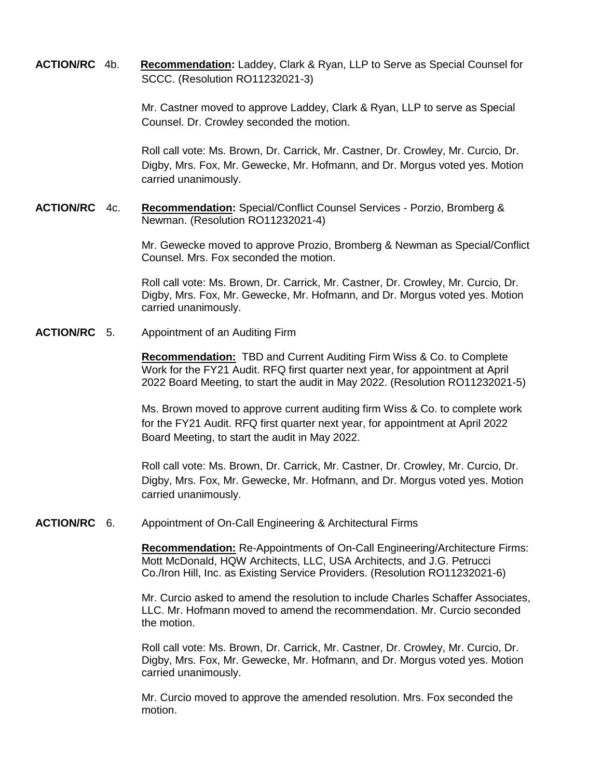**ACTION/RC** 4b. **Recommendation:** Laddey, Clark & Ryan, LLP to Serve as Special Counsel for SCCC. (Resolution RO11232021-3)

> Mr. Castner moved to approve Laddey, Clark & Ryan, LLP to serve as Special Counsel. Dr. Crowley seconded the motion.

Roll call vote: Ms. Brown, Dr. Carrick, Mr. Castner, Dr. Crowley, Mr. Curcio, Dr. Digby, Mrs. Fox, Mr. Gewecke, Mr. Hofmann, and Dr. Morgus voted yes. Motion carried unanimously.

**ACTION/RC** 4c. **Recommendation:** Special/Conflict Counsel Services - Porzio, Bromberg & Newman. (Resolution RO11232021-4)

> Mr. Gewecke moved to approve Prozio, Bromberg & Newman as Special/Conflict Counsel. Mrs. Fox seconded the motion.

Roll call vote: Ms. Brown, Dr. Carrick, Mr. Castner, Dr. Crowley, Mr. Curcio, Dr. Digby, Mrs. Fox, Mr. Gewecke, Mr. Hofmann, and Dr. Morgus voted yes. Motion carried unanimously.

**ACTION/RC** 5. Appointment of an Auditing Firm

**Recommendation:** TBD and Current Auditing Firm Wiss & Co. to Complete Work for the FY21 Audit. RFQ first quarter next year, for appointment at April 2022 Board Meeting, to start the audit in May 2022. (Resolution RO11232021-5)

Ms. Brown moved to approve current auditing firm Wiss & Co. to complete work for the FY21 Audit. RFQ first quarter next year, for appointment at April 2022 Board Meeting, to start the audit in May 2022.

Roll call vote: Ms. Brown, Dr. Carrick, Mr. Castner, Dr. Crowley, Mr. Curcio, Dr. Digby, Mrs. Fox, Mr. Gewecke, Mr. Hofmann, and Dr. Morgus voted yes. Motion carried unanimously.

**ACTION/RC** 6. Appointment of On-Call Engineering & Architectural Firms

**Recommendation:** Re-Appointments of On-Call Engineering/Architecture Firms: Mott McDonald, HQW Architects, LLC, USA Architects, and J.G. Petrucci Co./Iron Hill, Inc. as Existing Service Providers. (Resolution RO11232021-6)

Mr. Curcio asked to amend the resolution to include Charles Schaffer Associates, LLC. Mr. Hofmann moved to amend the recommendation. Mr. Curcio seconded the motion.

Roll call vote: Ms. Brown, Dr. Carrick, Mr. Castner, Dr. Crowley, Mr. Curcio, Dr. Digby, Mrs. Fox, Mr. Gewecke, Mr. Hofmann, and Dr. Morgus voted yes. Motion carried unanimously.

Mr. Curcio moved to approve the amended resolution. Mrs. Fox seconded the motion.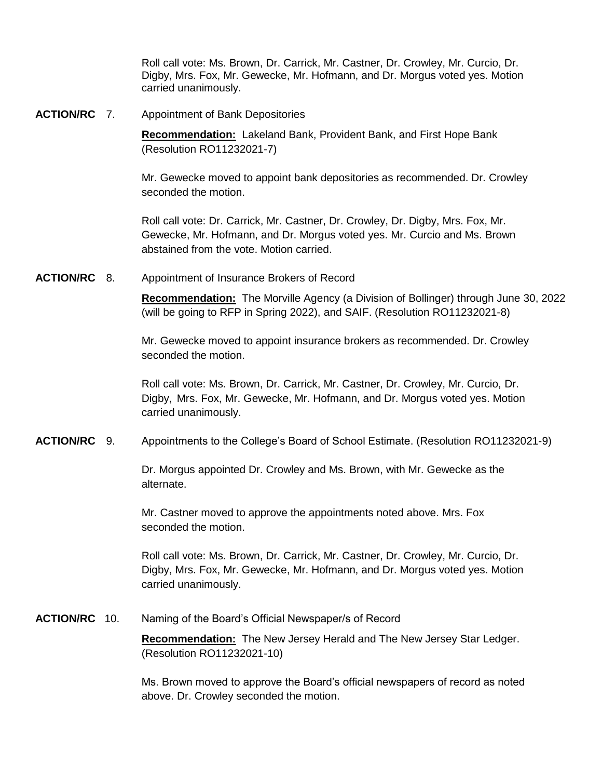Roll call vote: Ms. Brown, Dr. Carrick, Mr. Castner, Dr. Crowley, Mr. Curcio, Dr. Digby, Mrs. Fox, Mr. Gewecke, Mr. Hofmann, and Dr. Morgus voted yes. Motion carried unanimously.

**ACTION/RC** 7. Appointment of Bank Depositories

**Recommendation:** Lakeland Bank, Provident Bank, and First Hope Bank (Resolution RO11232021-7)

Mr. Gewecke moved to appoint bank depositories as recommended. Dr. Crowley seconded the motion.

Roll call vote: Dr. Carrick, Mr. Castner, Dr. Crowley, Dr. Digby, Mrs. Fox, Mr. Gewecke, Mr. Hofmann, and Dr. Morgus voted yes. Mr. Curcio and Ms. Brown abstained from the vote. Motion carried.

**ACTION/RC** 8. Appointment of Insurance Brokers of Record

**Recommendation:** The Morville Agency (a Division of Bollinger) through June 30, 2022 (will be going to RFP in Spring 2022), and SAIF. (Resolution RO11232021-8)

Mr. Gewecke moved to appoint insurance brokers as recommended. Dr. Crowley seconded the motion.

Roll call vote: Ms. Brown, Dr. Carrick, Mr. Castner, Dr. Crowley, Mr. Curcio, Dr. Digby, Mrs. Fox, Mr. Gewecke, Mr. Hofmann, and Dr. Morgus voted yes. Motion carried unanimously.

**ACTION/RC** 9. Appointments to the College's Board of School Estimate. (Resolution RO11232021-9)

Dr. Morgus appointed Dr. Crowley and Ms. Brown, with Mr. Gewecke as the alternate.

Mr. Castner moved to approve the appointments noted above. Mrs. Fox seconded the motion.

Roll call vote: Ms. Brown, Dr. Carrick, Mr. Castner, Dr. Crowley, Mr. Curcio, Dr. Digby, Mrs. Fox, Mr. Gewecke, Mr. Hofmann, and Dr. Morgus voted yes. Motion carried unanimously.

**ACTION/RC** 10. Naming of the Board's Official Newspaper/s of Record

**Recommendation:** The New Jersey Herald and The New Jersey Star Ledger. (Resolution RO11232021-10)

Ms. Brown moved to approve the Board's official newspapers of record as noted above. Dr. Crowley seconded the motion.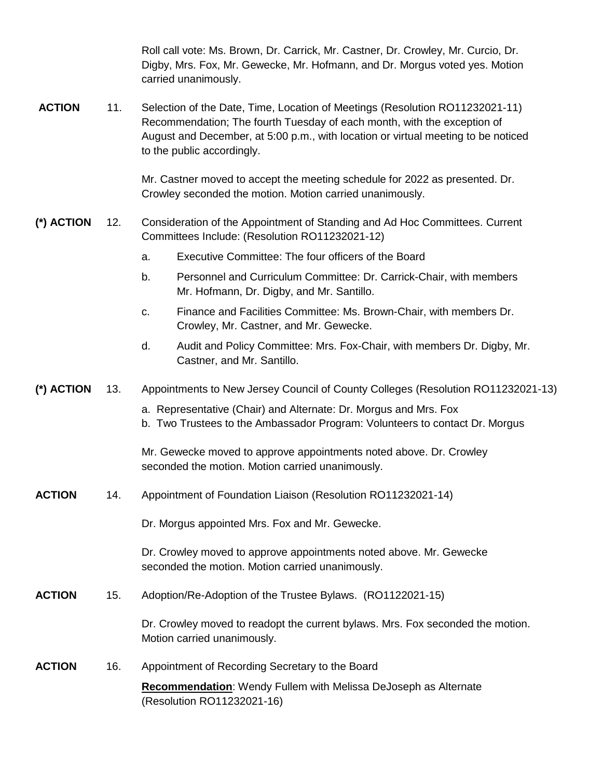|               |     | Roll call vote: Ms. Brown, Dr. Carrick, Mr. Castner, Dr. Crowley, Mr. Curcio, Dr.<br>Digby, Mrs. Fox, Mr. Gewecke, Mr. Hofmann, and Dr. Morgus voted yes. Motion<br>carried unanimously.                                                                                   |
|---------------|-----|----------------------------------------------------------------------------------------------------------------------------------------------------------------------------------------------------------------------------------------------------------------------------|
| <b>ACTION</b> | 11. | Selection of the Date, Time, Location of Meetings (Resolution RO11232021-11)<br>Recommendation; The fourth Tuesday of each month, with the exception of<br>August and December, at 5:00 p.m., with location or virtual meeting to be noticed<br>to the public accordingly. |
|               |     | Mr. Castner moved to accept the meeting schedule for 2022 as presented. Dr.<br>Crowley seconded the motion. Motion carried unanimously.                                                                                                                                    |
| (*) ACTION    | 12. | Consideration of the Appointment of Standing and Ad Hoc Committees. Current<br>Committees Include: (Resolution RO11232021-12)                                                                                                                                              |
|               |     | Executive Committee: The four officers of the Board<br>a.                                                                                                                                                                                                                  |
|               |     | Personnel and Curriculum Committee: Dr. Carrick-Chair, with members<br>b.<br>Mr. Hofmann, Dr. Digby, and Mr. Santillo.                                                                                                                                                     |
|               |     | Finance and Facilities Committee: Ms. Brown-Chair, with members Dr.<br>C.<br>Crowley, Mr. Castner, and Mr. Gewecke.                                                                                                                                                        |
|               |     | Audit and Policy Committee: Mrs. Fox-Chair, with members Dr. Digby, Mr.<br>d.<br>Castner, and Mr. Santillo.                                                                                                                                                                |
| (*) ACTION    | 13. | Appointments to New Jersey Council of County Colleges (Resolution RO11232021-13)                                                                                                                                                                                           |
|               |     | a. Representative (Chair) and Alternate: Dr. Morgus and Mrs. Fox<br>b. Two Trustees to the Ambassador Program: Volunteers to contact Dr. Morgus                                                                                                                            |
|               |     | Mr. Gewecke moved to approve appointments noted above. Dr. Crowley<br>seconded the motion. Motion carried unanimously.                                                                                                                                                     |
| <b>ACTION</b> | 14. | Appointment of Foundation Liaison (Resolution RO11232021-14)                                                                                                                                                                                                               |
|               |     | Dr. Morgus appointed Mrs. Fox and Mr. Gewecke.                                                                                                                                                                                                                             |
|               |     | Dr. Crowley moved to approve appointments noted above. Mr. Gewecke<br>seconded the motion. Motion carried unanimously.                                                                                                                                                     |
| <b>ACTION</b> | 15. | Adoption/Re-Adoption of the Trustee Bylaws. (RO1122021-15)                                                                                                                                                                                                                 |
|               |     | Dr. Crowley moved to readopt the current bylaws. Mrs. Fox seconded the motion.<br>Motion carried unanimously.                                                                                                                                                              |
| <b>ACTION</b> | 16. | Appointment of Recording Secretary to the Board                                                                                                                                                                                                                            |
|               |     | <b>Recommendation:</b> Wendy Fullem with Melissa DeJoseph as Alternate<br>(Resolution RO11232021-16)                                                                                                                                                                       |